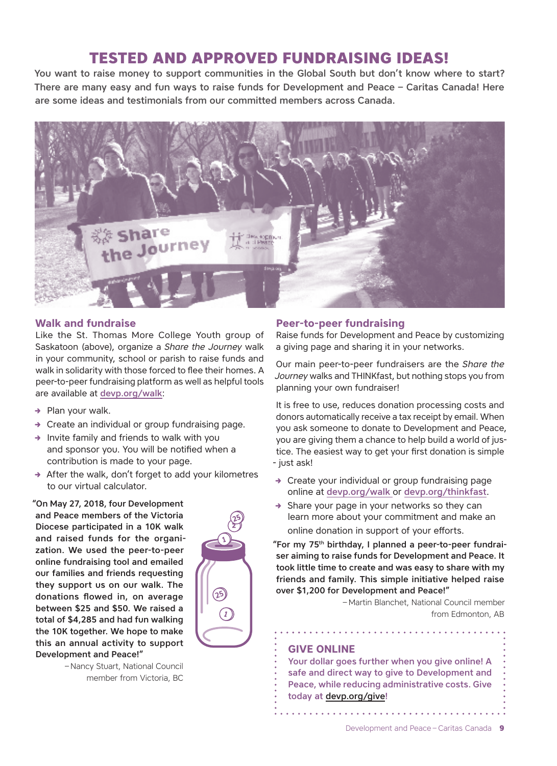# **TESTED AND APPROVED FUNDRAISING IDEAS!**

You want to raise money to support communities in the Global South but don't know where to start? There are many easy and fun ways to raise funds for Development and Peace – Caritas Canada! Here are some ideas and testimonials from our committed members across Canada.



## **Walk and fundraise**

Like the St. Thomas More College Youth group of Saskatoon (above), organize a *Share the Journey* walk in your community, school or parish to raise funds and walk in solidarity with those forced to flee their homes. A peer-to-peer fundraising platform as well as helpful tools are available at devp.org/walk:

- $\rightarrow$  Plan your walk.
- $\rightarrow$  Create an individual or group fundraising page.
- $\rightarrow$  Invite family and friends to walk with you and sponsor you. You will be notified when a contribution is made to your page.
- $\rightarrow$  After the walk, don't forget to add your kilometres to our virtual calculator.

"On May 27, 2018, four Development and Peace members of the Victoria Diocese participated in a 10K walk and raised funds for the organization. We used the peer-to-peer online fundraising tool and emailed our families and friends requesting they support us on our walk. The donations flowed in, on average between \$25 and \$50. We raised a total of \$4,285 and had fun walking the 10K together. We hope to make this an annual activity to support Development and Peace!"



## **Peer-to-peer fundraising**

Raise funds for Development and Peace by customizing a giving page and sharing it in your networks.

Our main peer-to-peer fundraisers are the *Share the Journey* walks and THINKfast, but nothing stops you from planning your own fundraiser!

It is free to use, reduces donation processing costs and donors automatically receive a tax receipt by email. When you ask someone to donate to Development and Peace, you are giving them a chance to help build a world of justice. The easiest way to get your first donation is simple - just ask!

- $\rightarrow$  Create your individual or group fundraising page online at devp.org/walk or devp.org/thinkfast.
- $\rightarrow$  Share your page in your networks so they can learn more about your commitment and make an online donation in support of your efforts.

"For my 75th birthday, I planned a peer-to-peer fundraiser aiming to raise funds for Development and Peace. It took little time to create and was easy to share with my friends and family. This simple initiative helped raise over \$1,200 for Development and Peace!"

. . . . . . . . . . . . . . .

– Martin Blanchet, National Council member from Edmonton, AB

## **GIVE ONLINE**

**1** 

**25**

Your dollar goes further when you give online! A safe and direct way to give to Development and Peace, while reducing administrative costs. Give today at devp.org/give!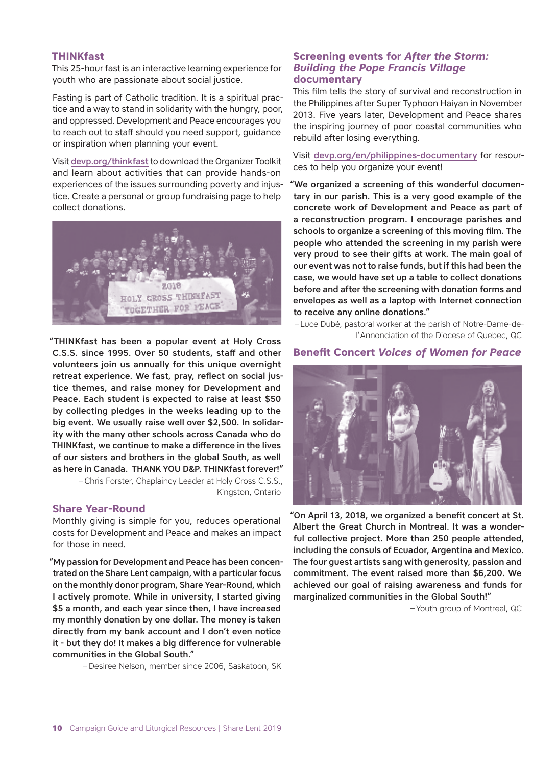#### **THINKfast**

This 25-hour fast is an interactive learning experience for youth who are passionate about social justice.

Fasting is part of Catholic tradition. It is a spiritual practice and a way to stand in solidarity with the hungry, poor, and oppressed. Development and Peace encourages you to reach out to staff should you need support, guidance or inspiration when planning your event.

Visit [devp.org/thinkfast](http://www.devp.org/thinkfast) to download the Organizer Toolkit and learn about activities that can provide hands-on experiences of the issues surrounding poverty and injustice. Create a personal or group fundraising page to help collect donations.



"THINKfast has been a popular event at Holy Cross C.S.S. since 1995. Over 50 students, staff and other volunteers join us annually for this unique overnight retreat experience. We fast, pray, reflect on social justice themes, and raise money for Development and Peace. Each student is expected to raise at least \$50 by collecting pledges in the weeks leading up to the big event. We usually raise well over \$2,500. In solidarity with the many other schools across Canada who do THINKfast, we continue to make a difference in the lives of our sisters and brothers in the global South, as well as here in Canada. THANK YOU D&P. THINKfast forever!" – Chris Forster, Chaplaincy Leader at Holy Cross C.S.S., Kingston, Ontario

#### **Share Year-Round**

Monthly giving is simple for you, reduces operational costs for Development and Peace and makes an impact for those in need.

"My passion for Development and Peace has been concentrated on the Share Lent campaign, with a particular focus on the monthly donor program, Share Year-Round, which I actively promote. While in university, I started giving \$5 a month, and each year since then, I have increased my monthly donation by one dollar. The money is taken directly from my bank account and I don't even notice it - but they do! It makes a big difference for vulnerable communities in the Global South."

– Desiree Nelson, member since 2006, Saskatoon, SK

## **Screening events for** *After the Storm: Building the Pope Francis Village* **documentary**

This film tells the story of survival and reconstruction in the Philippines after Super Typhoon Haiyan in November 2013. Five years later, Development and Peace shares the inspiring journey of poor coastal communities who rebuild after losing everything.

Visit [devp.org/en/philippines-documentary](https://www.devp.org/en/philippines-documentary) for resources to help you organize your event!

"We organized a screening of this wonderful documentary in our parish. This is a very good example of the concrete work of Development and Peace as part of a reconstruction program. I encourage parishes and schools to organize a screening of this moving film. The people who attended the screening in my parish were very proud to see their gifts at work. The main goal of our event was not to raise funds, but if this had been the case, we would have set up a table to collect donations before and after the screening with donation forms and envelopes as well as a laptop with Internet connection to receive any online donations."

– Luce Dubé, pastoral worker at the parish of Notre-Dame-del'Annonciation of the Diocese of Quebec, QC

#### **Benefit Concert** *Voices of Women for Peace*



"On April 13, 2018, we organized a benefit concert at St. Albert the Great Church in Montreal. It was a wonderful collective project. More than 250 people attended, including the consuls of Ecuador, Argentina and Mexico. The four guest artists sang with generosity, passion and commitment. The event raised more than \$6,200. We achieved our goal of raising awareness and funds for marginalized communities in the Global South!"

– Youth group of Montreal, QC